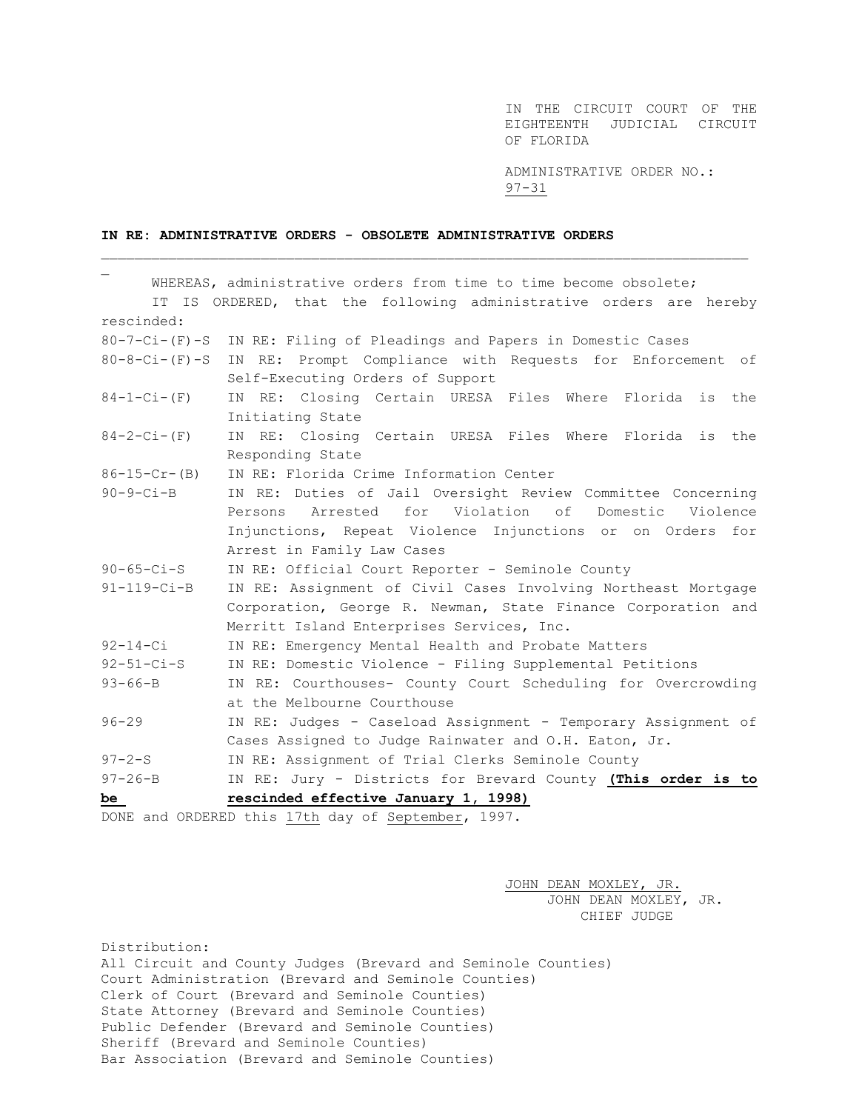IN THE CIRCUIT COURT OF THE EIGHTEENTH JUDICIAL CIRCUIT OF FLORIDA

ADMINISTRATIVE ORDER NO.: 97-31

## **IN RE: ADMINISTRATIVE ORDERS - OBSOLETE ADMINISTRATIVE ORDERS**

|                                                    | WHEREAS, administrative orders from time to time become obsolete;  |
|----------------------------------------------------|--------------------------------------------------------------------|
|                                                    | IT IS ORDERED, that the following administrative orders are hereby |
| rescinded:                                         |                                                                    |
| $80 - 7 - Ci - (F) - S$                            | IN RE: Filing of Pleadings and Papers in Domestic Cases            |
| $80 - 8 - Ci - (F) - S$                            | IN RE: Prompt Compliance with Requests for Enforcement of          |
|                                                    | Self-Executing Orders of Support                                   |
| $84 - 1 - Ci - (F)$                                | IN RE: Closing Certain URESA Files Where Florida is the            |
|                                                    | Initiating State                                                   |
| $84 - 2 - Ci - (F)$                                | IN RE: Closing Certain URESA Files Where Florida is the            |
|                                                    | Responding State                                                   |
| $86 - 15 - Cr - (B)$                               | IN RE: Florida Crime Information Center                            |
| $90-9-Ci-B$                                        | IN RE: Duties of Jail Oversight Review Committee Concerning        |
|                                                    | Persons Arrested for Violation of Domestic Violence                |
|                                                    | Injunctions, Repeat Violence Injunctions or on Orders for          |
|                                                    | Arrest in Family Law Cases                                         |
| $90 - 65 - Ci - S$                                 | IN RE: Official Court Reporter - Seminole County                   |
| $91 - 119 - Ci - B$                                | IN RE: Assignment of Civil Cases Involving Northeast Mortgage      |
|                                                    | Corporation, George R. Newman, State Finance Corporation and       |
|                                                    | Merritt Island Enterprises Services, Inc.                          |
| $92 - 14 - Ci$                                     | IN RE: Emergency Mental Health and Probate Matters                 |
| $92 - 51 - Ci - S$                                 | IN RE: Domestic Violence - Filing Supplemental Petitions           |
| $93 - 66 - B$                                      | IN RE: Courthouses- County Court Scheduling for Overcrowding       |
|                                                    | at the Melbourne Courthouse                                        |
| $96 - 29$                                          | IN RE: Judges - Caseload Assignment - Temporary Assignment of      |
|                                                    | Cases Assigned to Judge Rainwater and O.H. Eaton, Jr.              |
| $97 - 2 - S$                                       | IN RE: Assignment of Trial Clerks Seminole County                  |
| $97 - 26 - B$                                      | IN RE: Jury - Districts for Brevard County (This order is to       |
| be                                                 | rescinded effective January 1, 1998)                               |
| DONE and ORDERED this 17th day of September, 1997. |                                                                    |

\_\_\_\_\_\_\_\_\_\_\_\_\_\_\_\_\_\_\_\_\_\_\_\_\_\_\_\_\_\_\_\_\_\_\_\_\_\_\_\_\_\_\_\_\_\_\_\_\_\_\_\_\_\_\_\_\_\_\_\_\_\_\_\_\_\_\_\_\_\_\_\_\_\_\_\_\_

JOHN DEAN MOXLEY, JR. JOHN DEAN MOXLEY, JR. CHIEF JUDGE

Distribution: All Circuit and County Judges (Brevard and Seminole Counties) Court Administration (Brevard and Seminole Counties) Clerk of Court (Brevard and Seminole Counties) State Attorney (Brevard and Seminole Counties) Public Defender (Brevard and Seminole Counties) Sheriff (Brevard and Seminole Counties) Bar Association (Brevard and Seminole Counties)